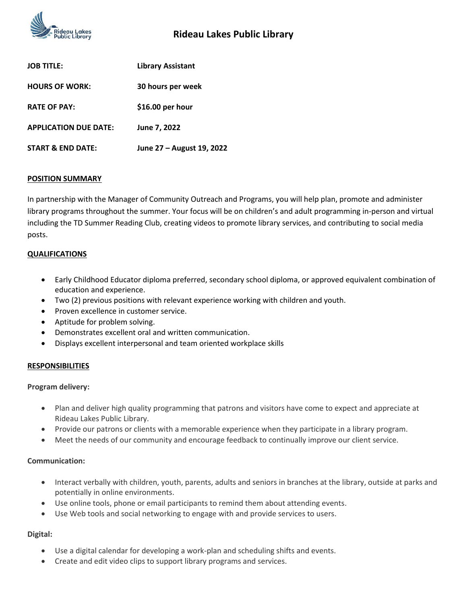

| <b>JOB TITLE:</b>            | <b>Library Assistant</b>  |
|------------------------------|---------------------------|
| <b>HOURS OF WORK:</b>        | 30 hours per week         |
| <b>RATE OF PAY:</b>          | \$16.00 per hour          |
| <b>APPLICATION DUE DATE:</b> | June 7, 2022              |
| <b>START &amp; END DATE:</b> | June 27 - August 19, 2022 |

## **POSITION SUMMARY**

In partnership with the Manager of Community Outreach and Programs, you will help plan, promote and administer library programs throughout the summer. Your focus will be on children's and adult programming in-person and virtual including the TD Summer Reading Club, creating videos to promote library services, and contributing to social media posts.

### **QUALIFICATIONS**

- Early Childhood Educator diploma preferred, secondary school diploma, or approved equivalent combination of education and experience.
- Two (2) previous positions with relevant experience working with children and youth.
- Proven excellence in customer service.
- Aptitude for problem solving.
- Demonstrates excellent oral and written communication.
- Displays excellent interpersonal and team oriented workplace skills

#### **RESPONSIBILITIES**

#### **Program delivery:**

- Plan and deliver high quality programming that patrons and visitors have come to expect and appreciate at Rideau Lakes Public Library.
- Provide our patrons or clients with a memorable experience when they participate in a library program.
- Meet the needs of our community and encourage feedback to continually improve our client service.

#### **Communication:**

- Interact verbally with children, youth, parents, adults and seniors in branches at the library, outside at parks and potentially in online environments.
- Use online tools, phone or email participants to remind them about attending events.
- Use Web tools and social networking to engage with and provide services to users.

## **Digital:**

- Use a digital calendar for developing a work-plan and scheduling shifts and events.
- Create and edit video clips to support library programs and services.